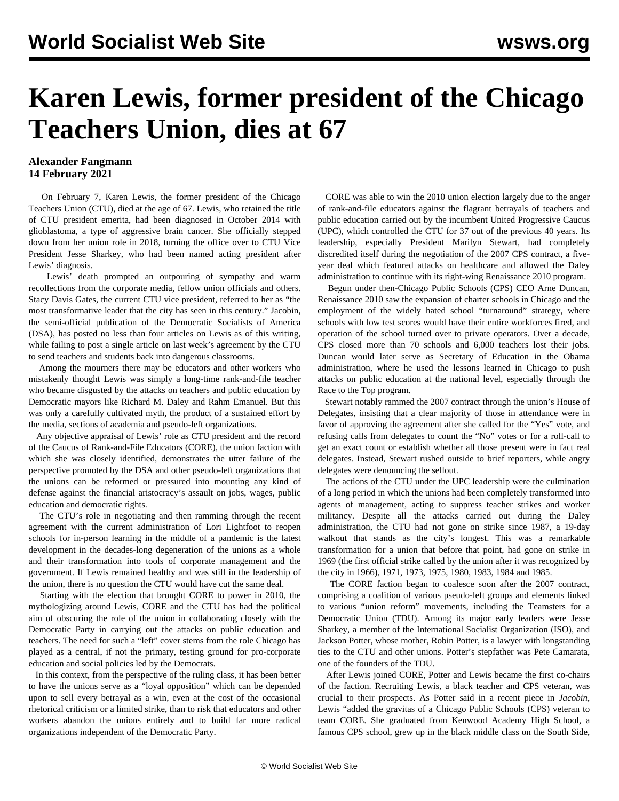## **Karen Lewis, former president of the Chicago Teachers Union, dies at 67**

## **Alexander Fangmann 14 February 2021**

 On February 7, Karen Lewis, the former president of the Chicago Teachers Union (CTU), died at the age of 67. Lewis, who retained the title of CTU president emerita, had been diagnosed in October 2014 with glioblastoma, a type of aggressive brain cancer. She officially stepped down from her union role in 2018, turning the office over to CTU Vice President Jesse Sharkey, who had been named acting president after Lewis' diagnosis.

 Lewis' death prompted an outpouring of sympathy and warm recollections from the corporate media, fellow union officials and others. Stacy Davis Gates, the current CTU vice president, referred to her as "the most transformative leader that the city has seen in this century." Jacobin, the semi-official publication of the Democratic Socialists of America (DSA), has posted no less than four articles on Lewis as of this writing, while failing to post a single article on last week's agreement by the CTU to send teachers and students back into dangerous classrooms.

 Among the mourners there may be educators and other workers who mistakenly thought Lewis was simply a long-time rank-and-file teacher who became disgusted by the attacks on teachers and public education by Democratic mayors like Richard M. Daley and Rahm Emanuel. But this was only a carefully cultivated myth, the product of a sustained effort by the media, sections of academia and pseudo-left organizations.

 Any objective appraisal of Lewis' role as CTU president and the record of the Caucus of Rank-and-File Educators (CORE), the union faction with which she was closely identified, demonstrates the utter failure of the perspective promoted by the DSA and other pseudo-left organizations that the unions can be reformed or pressured into mounting any kind of defense against the financial aristocracy's assault on jobs, wages, public education and democratic rights.

 The CTU's role in negotiating and then ramming through the recent agreement with the current administration of Lori Lightfoot to reopen schools for in-person learning in the middle of a pandemic is the latest development in the decades-long degeneration of the unions as a whole and their transformation into tools of corporate management and the government. If Lewis remained healthy and was still in the leadership of the union, there is no question the CTU would have cut the same deal.

 Starting with the election that brought CORE to power in 2010, the mythologizing around Lewis, CORE and the CTU has had the political aim of obscuring the role of the union in collaborating closely with the Democratic Party in carrying out the attacks on public education and teachers. The need for such a "left" cover stems from the role Chicago has played as a central, if not the primary, testing ground for pro-corporate education and social policies led by the Democrats.

 In this context, from the perspective of the ruling class, it has been better to have the unions serve as a "loyal opposition" which can be depended upon to sell every betrayal as a win, even at the cost of the occasional rhetorical criticism or a limited strike, than to risk that educators and other workers abandon the unions entirely and to build far more radical organizations independent of the Democratic Party.

 CORE was able to win the 2010 union election largely due to the anger of rank-and-file educators against the flagrant betrayals of teachers and public education carried out by the incumbent United Progressive Caucus (UPC), which controlled the CTU for 37 out of the previous 40 years. Its leadership, especially President Marilyn Stewart, had completely discredited itself during the negotiation of the 2007 CPS contract, a fiveyear deal which featured attacks on healthcare and allowed the Daley administration to continue with its right-wing Renaissance 2010 program.

 Begun under then-Chicago Public Schools (CPS) CEO Arne Duncan, Renaissance 2010 saw the expansion of charter schools in Chicago and the employment of the widely hated school "turnaround" strategy, where schools with low test scores would have their entire workforces fired, and operation of the school turned over to private operators. Over a decade, CPS closed more than 70 schools and 6,000 teachers lost their jobs. Duncan would later serve as Secretary of Education in the Obama administration, where he used the lessons learned in Chicago to push attacks on public education at the national level, especially through the Race to the Top program.

 Stewart [notably](http://www.substancenews.net/webupdates/aug_31_0) rammed the 2007 contract through the union's House of Delegates, insisting that a clear majority of those in attendance were in favor of approving the agreement after she called for the "Yes" vote, and refusing calls from delegates to count the "No" votes or for a roll-call to get an exact count or establish whether all those present were in fact real delegates. Instead, Stewart rushed outside to brief reporters, while angry delegates were denouncing the sellout.

 The actions of the CTU under the UPC leadership were the culmination of a long period in which the unions had been completely transformed into agents of management, acting to suppress teacher strikes and worker militancy. Despite all the attacks carried out during the Daley administration, the CTU had not gone on strike since 1987, a 19-day walkout that stands as the city's longest. This was a remarkable transformation for a union that before that point, had gone on strike in 1969 (the first official strike called by the union after it was recognized by the city in 1966), 1971, 1973, 1975, 1980, 1983, 1984 and 1985.

 The CORE faction began to coalesce soon after the 2007 contract, comprising a coalition of various pseudo-left groups and elements linked to various "union reform" movements, including the Teamsters for a Democratic Union (TDU). Among its major early leaders were Jesse Sharkey, a member of the International Socialist Organization (ISO), and Jackson Potter, whose mother, Robin Potter, is a lawyer with longstanding ties to the CTU and other unions. Potter's stepfather was Pete Camarata, one of the founders of the TDU.

 After Lewis joined CORE, Potter and Lewis became the first co-chairs of the faction. Recruiting Lewis, a black teacher and CPS veteran, was crucial to their prospects. As Potter [said](https://jacobinmag.com/2021/02/karen-lewi) in a recent piece in *Jacobin*, Lewis "added the gravitas of a Chicago Public Schools (CPS) veteran to team CORE. She graduated from Kenwood Academy High School, a famous CPS school, grew up in the black middle class on the South Side,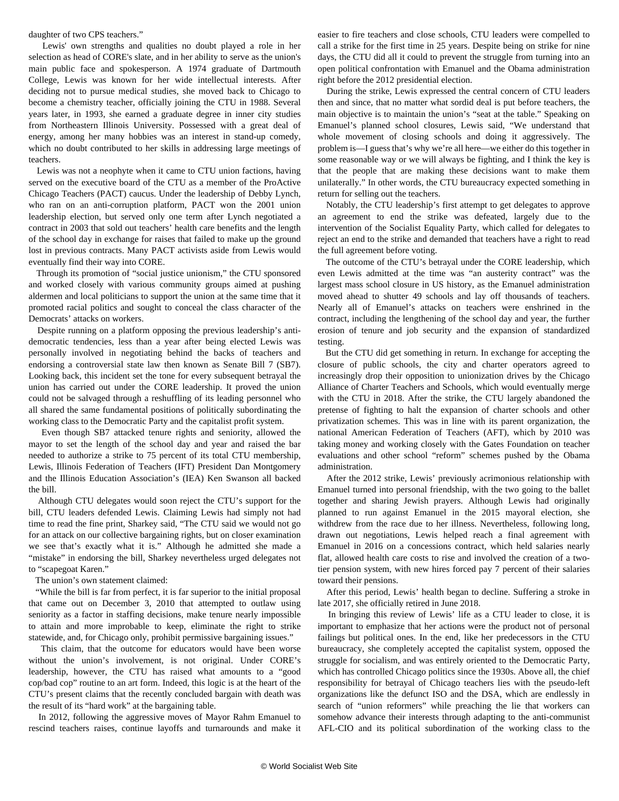daughter of two CPS teachers."

 Lewis' own strengths and qualities no doubt played a role in her selection as head of CORE's slate, and in her ability to serve as the union's main public face and spokesperson. A 1974 graduate of Dartmouth College, Lewis was known for her wide intellectual interests. After deciding not to pursue medical studies, she moved back to Chicago to become a chemistry teacher, officially joining the CTU in 1988. Several years later, in 1993, she earned a graduate degree in inner city studies from Northeastern Illinois University. Possessed with a great deal of energy, among her many hobbies was an interest in stand-up comedy, which no doubt contributed to her skills in addressing large meetings of teachers.

 Lewis was not a neophyte when it came to CTU union factions, having served on the executive board of the CTU as a member of the ProActive Chicago Teachers (PACT) caucus. Under the leadership of Debby Lynch, who ran on an anti-corruption platform, PACT won the 2001 union leadership election, but served only one term after Lynch negotiated a contract in 2003 that sold out teachers' health care benefits and the length of the school day in exchange for raises that failed to make up the ground lost in previous contracts. Many PACT activists aside from Lewis would eventually find their way into CORE.

 Through its promotion of "social justice unionism," the CTU sponsored and worked closely with various community groups aimed at pushing aldermen and local politicians to support the union at the same time that it promoted racial politics and sought to conceal the class character of the Democrats' attacks on workers.

 Despite running on a platform opposing the previous leadership's antidemocratic tendencies, less than a year after being elected Lewis was personally involved in negotiating behind the backs of teachers and [endorsing](https://www.ctulocal1.org/posts/senate-bill-7-letter-from-president-lewis/) a controversial state law then known as Senate Bill 7 (SB7). Looking back, this incident set the tone for every subsequent betrayal the union has carried out under the CORE leadership. It proved the union could not be salvaged through a reshuffling of its leading personnel who all shared the same fundamental positions of politically subordinating the working class to the Democratic Party and the capitalist profit system.

 Even though SB7 attacked tenure rights and seniority, allowed the mayor to set the length of the school day and year and raised the bar needed to authorize a strike to 75 percent of its total CTU membership, Lewis, Illinois Federation of Teachers (IFT) President Dan Montgomery and the Illinois Education Association's (IEA) Ken Swanson all backed the bill.

 Although CTU delegates would soon reject the CTU's support for the bill, CTU leaders defended Lewis. Claiming Lewis had simply not had time to read the fine print, Sharkey said, "The CTU said we would not go for an attack on our collective bargaining rights, but on closer examination we see that's exactly what it is." Although he admitted she made a "mistake" in endorsing the bill, Sharkey nevertheless urged delegates not to "scapegoat Karen."

The union's own [statement](https://www.ctulocal1.org/posts/illinois-senate-bill-7/) claimed:

 "While the bill is far from perfect, it is far superior to the initial proposal that came out on December 3, 2010 that attempted to outlaw using seniority as a factor in staffing decisions, make tenure nearly impossible to attain and more improbable to keep, eliminate the right to strike statewide, and, for Chicago only, prohibit permissive bargaining issues."

 This claim, that the outcome for educators would have been worse without the union's involvement, is not original. Under CORE's leadership, however, the CTU has raised what amounts to a "good cop/bad cop" routine to an art form. Indeed, this logic is at the heart of the CTU's present claims that the recently concluded [bargain with death](/en/articles/2021/02/08/chgo-f08.html) was the result of its "hard work" at the bargaining table.

 In 2012, following the aggressive moves of Mayor Rahm Emanuel to rescind teachers raises, continue layoffs and turnarounds and make it easier to fire teachers and close schools, CTU leaders were compelled to call a strike for the first time in 25 years. Despite being on strike for nine days, the CTU did all it could to prevent the struggle from turning into an open political confrontation with Emanuel and the Obama administration right before the 2012 presidential election.

 During the strike, Lewis expressed the central concern of CTU leaders then and since, that no matter what sordid deal is put before teachers, the main objective is to maintain the union's "seat at the table." Speaking on Emanuel's planned school closures, Lewis said, "We understand that whole movement of closing schools and doing it aggressively. The problem is—I guess that's why we're all here—we either do this together in some reasonable way or we will always be fighting, and I think the key is that the people that are making these decisions want to make them unilaterally." In other words, the CTU bureaucracy expected something in return for selling out the teachers.

 Notably, the CTU leadership's first attempt to get delegates to approve an agreement to end the strike was defeated, largely due to the intervention of the Socialist Equality Party, which called for delegates to reject an end to the strike and demanded that teachers have a right to read the full agreement before voting.

 The outcome of the CTU's betrayal under the CORE leadership, which even Lewis admitted at the time was "an austerity contract" was the largest mass school closure in US history, as the Emanuel administration moved ahead to shutter 49 schools and lay off thousands of teachers. Nearly all of Emanuel's attacks on teachers were enshrined in the contract, including the lengthening of the school day and year, the further erosion of tenure and job security and the expansion of standardized testing.

 But the CTU did get something in return. In exchange for accepting the closure of public schools, the city and charter operators agreed to increasingly drop their opposition to unionization drives by the Chicago Alliance of Charter Teachers and Schools, which would eventually merge with the CTU in 2018. After the strike, the CTU largely abandoned the pretense of fighting to halt the expansion of charter schools and other privatization schemes. This was in line with its parent organization, the national American Federation of Teachers (AFT), which by 2010 was taking money and working closely with the Gates Foundation on teacher evaluations and other school "reform" schemes pushed by the Obama administration.

 After the 2012 strike, Lewis' previously acrimonious relationship with Emanuel turned into personal friendship, with the two going to the ballet together and [sharing Jewish prayers.](https://chicago.suntimes.com/city-hall/2021/2/8/22272680/karen) Although Lewis had originally planned to run against Emanuel in the 2015 mayoral election, she withdrew from the race due to her illness. Nevertheless, following long, drawn out negotiations, Lewis helped reach a final agreement with Emanuel in 2016 on a concessions contract, which held salaries nearly flat, allowed health care costs to rise and involved the creation of a twotier pension system, with new hires forced pay 7 percent of their salaries toward their pensions.

 After this period, Lewis' health began to decline. Suffering a stroke in late 2017, she officially retired in June 2018.

 In bringing this review of Lewis' life as a CTU leader to close, it is important to emphasize that her actions were the product not of personal failings but political ones. In the end, like her predecessors in the CTU bureaucracy, she completely accepted the capitalist system, opposed the struggle for socialism, and was entirely oriented to the Democratic Party, which has controlled Chicago politics since the 1930s. Above all, the chief responsibility for betrayal of Chicago teachers lies with the pseudo-left organizations like the defunct ISO and the DSA, which are endlessly in search of "union reformers" while preaching the lie that workers can somehow advance their interests through adapting to the anti-communist AFL-CIO and its political subordination of the working class to the